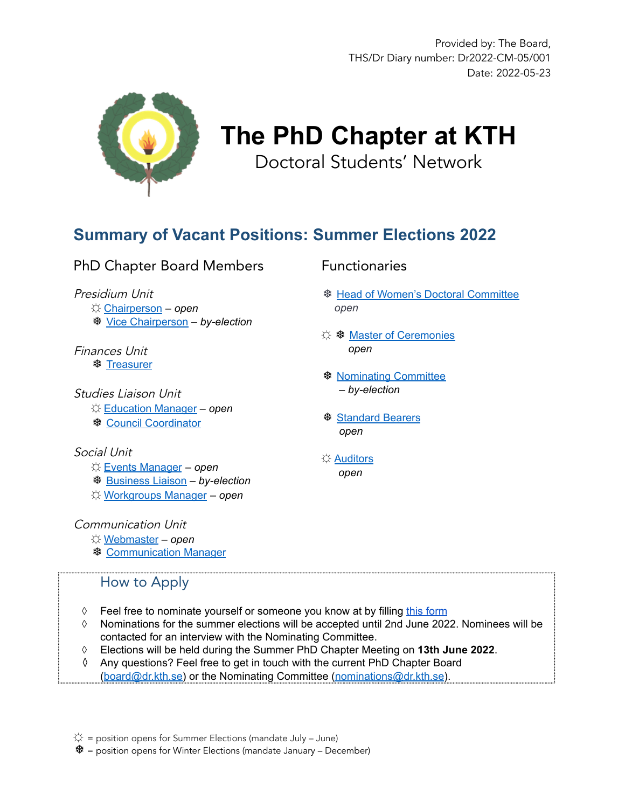

# **The PhD Chapter at KTH** Doctoral Students' Network

## **Summary of Vacant Positions: Summer Elections 2022**

#### PhD Chapter Board Members

#### Presidium Unit

☼ [Chairperson](#page-1-0) – *open*

❆ [Vice Chairperson](#page-2-0) – *by-election*

### Finances Unit

❆ [Treasurer](#page-3-0)

### Studies Liaison Unit

☼ [Education Manager](#page-4-0) – *open*

❆ [Council Coordinator](#page-5-0)

#### Social Unit

- ☼ [Events Manager](#page-6-0) *open*
- ❆ [Business Liaison](#page-7-0) *by-election*
- ☼ [Workgroups Manager](#page-8-0) *open*

#### Communication Unit

- ☼ [Webmaster](#page-9-0) *open*
- ❆ [Communication Manager](#page-10-0)

### How to Apply

- ↑ Feel free to nominate yourself or someone you know at by filling [this form](https://www.kth.se/form/phd-chapter-summer-elections-2022)
- ◊ Nominations for the summer elections will be accepted until 2nd June 2022. Nominees will be contacted for an interview with the Nominating Committee.
- ◊ Elections will be held during the Summer PhD Chapter Meeting on **13th June 2022**.
- Any questions? Feel free to get in touch with the current PhD Chapter Board ([board@dr.kth.se\)](mailto:board@dr.kth.se) or the Nominating Committee [\(nominations@dr.kth.se](mailto:nominations@dr.kth.se)).

 $\dotimes$  = position opens for Summer Elections (mandate July – June)

❆= position opens for Winter Elections (mandate January – December)

#### Functionaries

- ❆ [Head of Women's Doctoral Committee](#page-11-0) *open*
- ☼ ❆ [Master of Ceremonies](#page-12-0) *open*
- ❆ [Nominating Committee](#page-13-0) – *by-election*
- ❆ [Standard Bearers](#page-14-0) *open*
- ☼ [Auditors](#page-15-0) *open*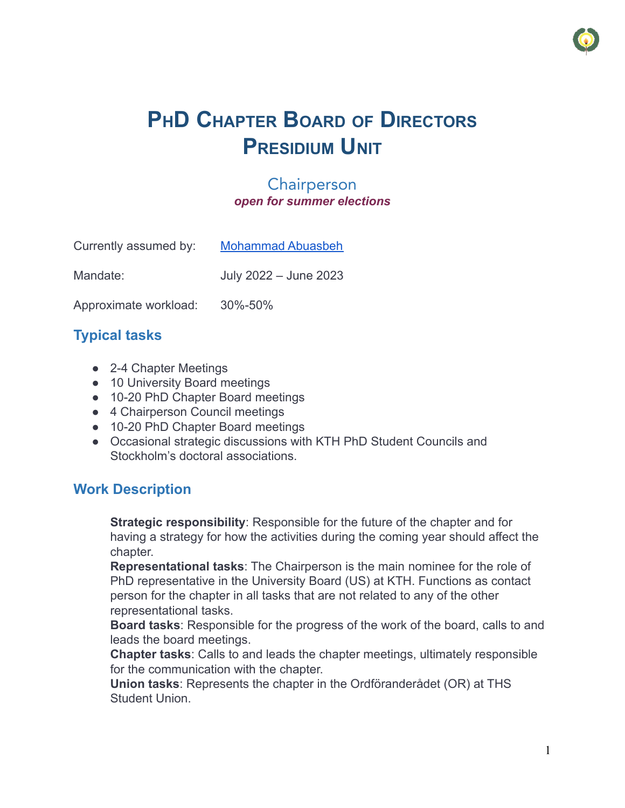

# **PHD CHAPTER BOARD OF DIRECTORS PRESIDIUM UNIT**

### **Chairperson** *open for summer elections*

<span id="page-1-0"></span>

| Currently assumed by: | <b>Mohammad Abuasbeh</b> |
|-----------------------|--------------------------|
| Mandate:              | July 2022 - June 2023    |

Approximate workload: 30%-50%

## **Typical tasks**

- **●** 2-4 Chapter Meetings
- **●** 10 University Board meetings
- **●** 10-20 PhD Chapter Board meetings
- **●** 4 Chairperson Council meetings
- **●** 10-20 PhD Chapter Board meetings
- **●** Occasional strategic discussions with KTH PhD Student Councils and Stockholm's doctoral associations.

## **Work Description**

**Strategic responsibility**: Responsible for the future of the chapter and for having a strategy for how the activities during the coming year should affect the chapter.

**Representational tasks**: The Chairperson is the main nominee for the role of PhD representative in the University Board (US) at KTH. Functions as contact person for the chapter in all tasks that are not related to any of the other representational tasks.

**Board tasks**: Responsible for the progress of the work of the board, calls to and leads the board meetings.

**Chapter tasks**: Calls to and leads the chapter meetings, ultimately responsible for the communication with the chapter.

**Union tasks**: Represents the chapter in the Ordföranderådet (OR) at THS Student Union.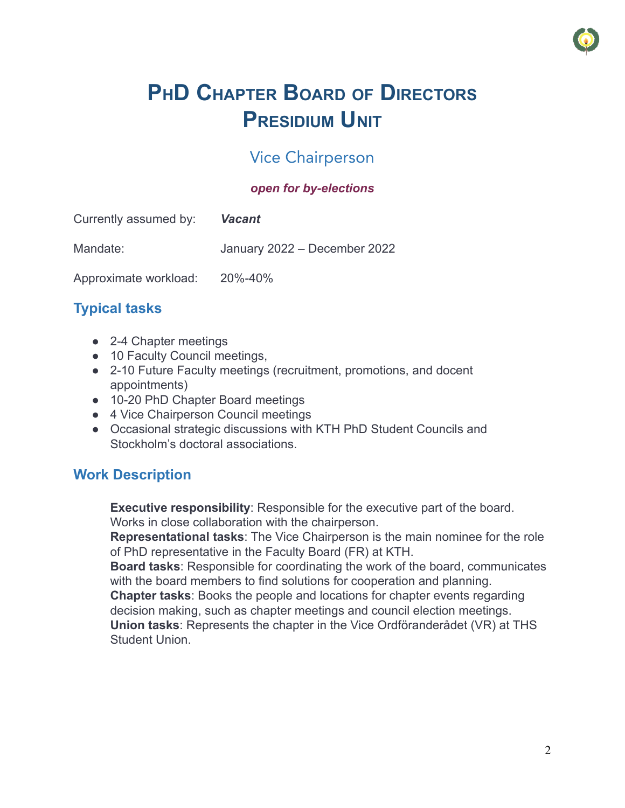

# **PHD CHAPTER BOARD OF DIRECTORS PRESIDIUM UNIT**

## Vice Chairperson

### *open for by-elections*

<span id="page-2-0"></span>

| Currently assumed by: | <b>Vacant</b>                |
|-----------------------|------------------------------|
| Mandate:              | January 2022 - December 2022 |
| Approximate workload: | 20%-40%                      |

## **Typical tasks**

- **●** 2-4 Chapter meetings
- **●** 10 Faculty Council meetings,
- **●** 2-10 Future Faculty meetings (recruitment, promotions, and docent appointments)
- **●** 10-20 PhD Chapter Board meetings
- **●** 4 Vice Chairperson Council meetings
- **●** Occasional strategic discussions with KTH PhD Student Councils and Stockholm's doctoral associations.

## **Work Description**

**Executive responsibility**: Responsible for the executive part of the board. Works in close collaboration with the chairperson.

**Representational tasks**: The Vice Chairperson is the main nominee for the role of PhD representative in the Faculty Board (FR) at KTH.

**Board tasks**: Responsible for coordinating the work of the board, communicates with the board members to find solutions for cooperation and planning.

**Chapter tasks**: Books the people and locations for chapter events regarding decision making, such as chapter meetings and council election meetings.

**Union tasks**: Represents the chapter in the Vice Ordföranderådet (VR) at THS Student Union.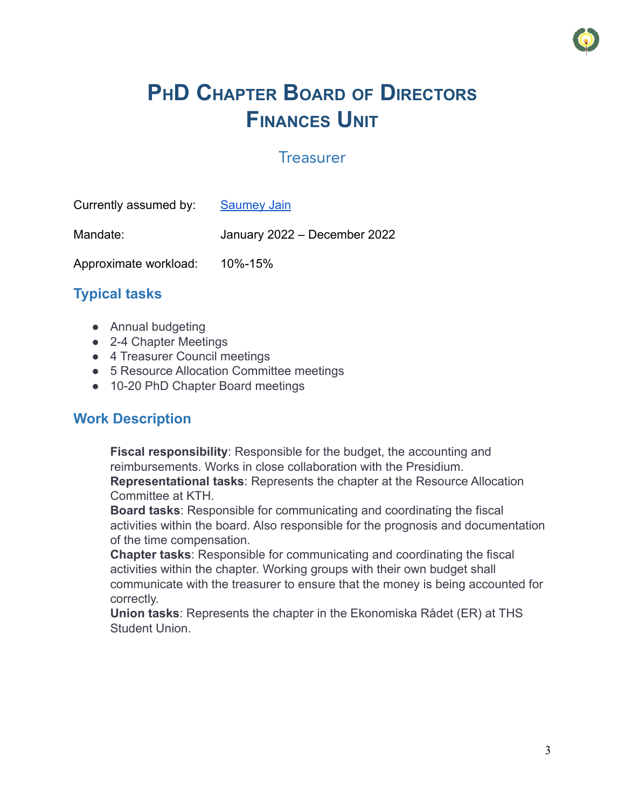

# **PHD CHAPTER BOARD OF DIRECTORS FINANCES UNIT**

### **Treasurer**

<span id="page-3-0"></span>

| Currently assumed by: | <b>Saumey Jain</b>           |
|-----------------------|------------------------------|
| Mandate:              | January 2022 - December 2022 |
| Approximate workload: | 10%-15%                      |

## **Typical tasks**

- **●** Annual budgeting
- **●** 2-4 Chapter Meetings
- **●** 4 Treasurer Council meetings
- **●** 5 Resource Allocation Committee meetings
- **●** 10-20 PhD Chapter Board meetings

#### **Work Description**

**Fiscal responsibility**: Responsible for the budget, the accounting and reimbursements. Works in close collaboration with the Presidium. **Representational tasks**: Represents the chapter at the Resource Allocation Committee at KTH.

**Board tasks**: Responsible for communicating and coordinating the fiscal activities within the board. Also responsible for the prognosis and documentation of the time compensation.

**Chapter tasks**: Responsible for communicating and coordinating the fiscal activities within the chapter. Working groups with their own budget shall communicate with the treasurer to ensure that the money is being accounted for correctly.

**Union tasks**: Represents the chapter in the Ekonomiska Rådet (ER) at THS Student Union.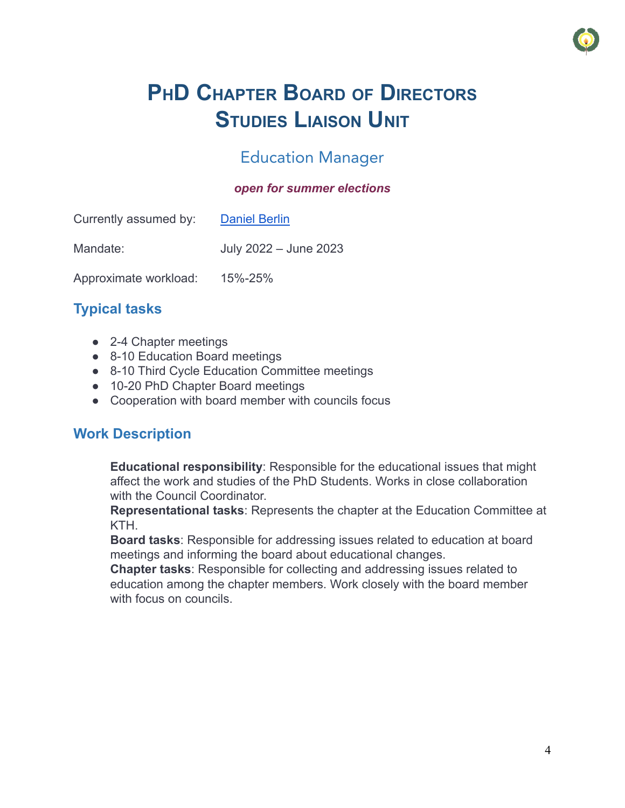

# **PHD CHAPTER BOARD OF DIRECTORS STUDIES LIAISON UNIT**

## Education Manager

#### *open for summer elections*

<span id="page-4-0"></span>

| Currently assumed by: | <b>Daniel Berlin</b>  |
|-----------------------|-----------------------|
| Mandate:              | July 2022 - June 2023 |
| Approximate workload: | 15%-25%               |

## **Typical tasks**

- **●** 2-4 Chapter meetings
- **●** 8-10 Education Board meetings
- **●** 8-10 Third Cycle Education Committee meetings
- **●** 10-20 PhD Chapter Board meetings
- **●** Cooperation with board member with councils focus

## **Work Description**

**Educational responsibility**: Responsible for the educational issues that might affect the work and studies of the PhD Students. Works in close collaboration with the Council Coordinator.

**Representational tasks**: Represents the chapter at the Education Committee at KTH.

**Board tasks**: Responsible for addressing issues related to education at board meetings and informing the board about educational changes.

**Chapter tasks**: Responsible for collecting and addressing issues related to education among the chapter members. Work closely with the board member with focus on councils.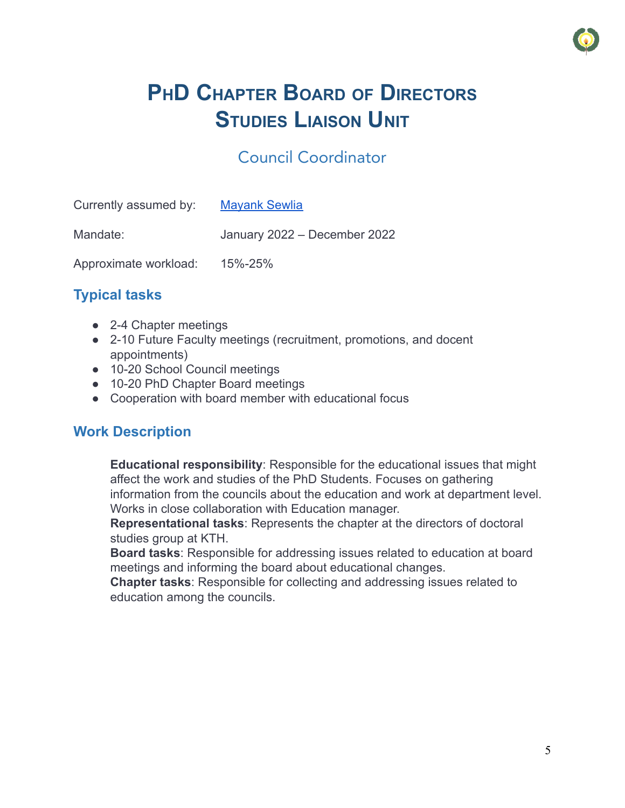

# **PHD CHAPTER BOARD OF DIRECTORS STUDIES LIAISON UNIT**

## Council Coordinator

<span id="page-5-0"></span>

| Currently assumed by: | <b>Mayank Sewlia</b>         |
|-----------------------|------------------------------|
| Mandate:              | January 2022 - December 2022 |
| Approximate workload: | 15%-25%                      |

## **Typical tasks**

- **●** 2-4 Chapter meetings
- **●** 2-10 Future Faculty meetings (recruitment, promotions, and docent appointments)
- **●** 10-20 School Council meetings
- **●** 10-20 PhD Chapter Board meetings
- **●** Cooperation with board member with educational focus

## **Work Description**

**Educational responsibility**: Responsible for the educational issues that might affect the work and studies of the PhD Students. Focuses on gathering information from the councils about the education and work at department level. Works in close collaboration with Education manager.

**Representational tasks**: Represents the chapter at the directors of doctoral studies group at KTH.

**Board tasks**: Responsible for addressing issues related to education at board meetings and informing the board about educational changes.

**Chapter tasks**: Responsible for collecting and addressing issues related to education among the councils.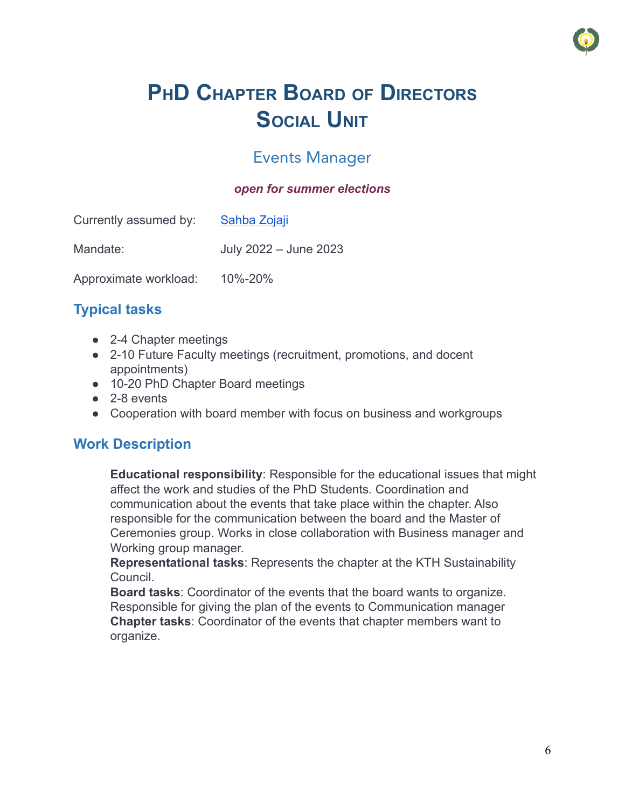

# **PHD CHAPTER BOARD OF DIRECTORS SOCIAL UNIT**

## Events Manager

#### *open for summer elections*

<span id="page-6-0"></span>

| Currently assumed by: | Sahba Zojaji          |
|-----------------------|-----------------------|
| Mandate:              | July 2022 - June 2023 |
| Approximate workload: | 10%-20%               |

## **Typical tasks**

- **●** 2-4 Chapter meetings
- **●** 2-10 Future Faculty meetings (recruitment, promotions, and docent appointments)
- **●** 10-20 PhD Chapter Board meetings
- **●** 2-8 events
- **●** Cooperation with board member with focus on business and workgroups

## **Work Description**

**Educational responsibility**: Responsible for the educational issues that might affect the work and studies of the PhD Students. Coordination and communication about the events that take place within the chapter. Also responsible for the communication between the board and the Master of Ceremonies group. Works in close collaboration with Business manager and Working group manager.

**Representational tasks**: Represents the chapter at the KTH Sustainability Council.

**Board tasks**: Coordinator of the events that the board wants to organize. Responsible for giving the plan of the events to Communication manager **Chapter tasks**: Coordinator of the events that chapter members want to organize.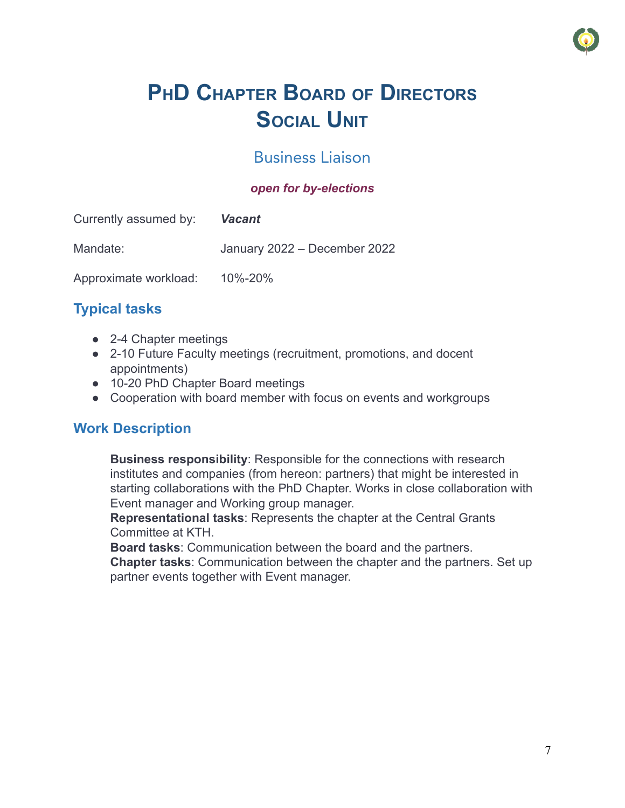

# **PHD CHAPTER BOARD OF DIRECTORS SOCIAL UNIT**

## Business Liaison

#### *open for by-elections*

<span id="page-7-0"></span>

| Currently assumed by: | <b>Vacant</b>                |
|-----------------------|------------------------------|
| Mandate:              | January 2022 - December 2022 |
| Approximate workload: | 10%-20%                      |

## **Typical tasks**

- **●** 2-4 Chapter meetings
- **●** 2-10 Future Faculty meetings (recruitment, promotions, and docent appointments)
- **●** 10-20 PhD Chapter Board meetings
- **●** Cooperation with board member with focus on events and workgroups

## **Work Description**

**Business responsibility**: Responsible for the connections with research institutes and companies (from hereon: partners) that might be interested in starting collaborations with the PhD Chapter. Works in close collaboration with Event manager and Working group manager.

**Representational tasks**: Represents the chapter at the Central Grants Committee at KTH.

**Board tasks**: Communication between the board and the partners.

**Chapter tasks**: Communication between the chapter and the partners. Set up partner events together with Event manager.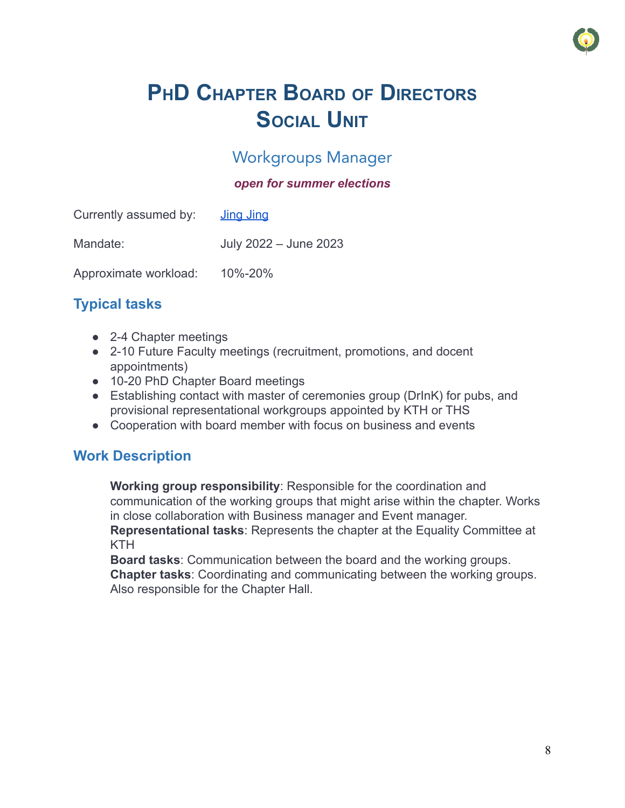

# **PHD CHAPTER BOARD OF DIRECTORS SOCIAL UNIT**

## Workgroups Manager

#### *open for summer elections*

<span id="page-8-0"></span>

| Currently assumed by: | <u>Jing Jing</u>      |
|-----------------------|-----------------------|
| Mandate:              | July 2022 - June 2023 |
| Approximate workload: | 10%-20%               |

## **Typical tasks**

- **●** 2-4 Chapter meetings
- **●** 2-10 Future Faculty meetings (recruitment, promotions, and docent appointments)
- **●** 10-20 PhD Chapter Board meetings
- **●** Establishing contact with master of ceremonies group (DrInK) for pubs, and provisional representational workgroups appointed by KTH or THS
- **●** Cooperation with board member with focus on business and events

## **Work Description**

**Working group responsibility**: Responsible for the coordination and communication of the working groups that might arise within the chapter. Works in close collaboration with Business manager and Event manager. **Representational tasks**: Represents the chapter at the Equality Committee at KTH

**Board tasks**: Communication between the board and the working groups. **Chapter tasks**: Coordinating and communicating between the working groups. Also responsible for the Chapter Hall.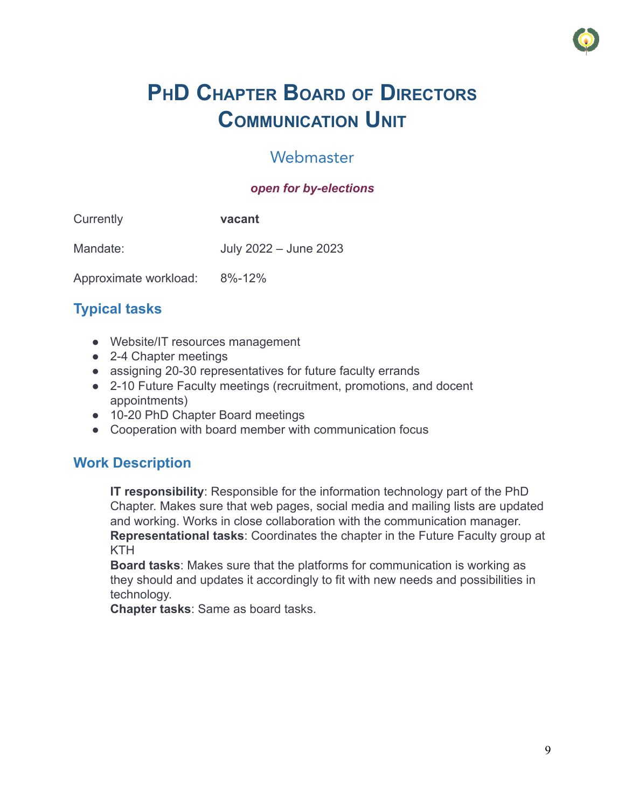

# **PHD CHAPTER BOARD OF DIRECTORS COMMUNICATION UNIT**

## Webmaster

#### *open for by-elections*

<span id="page-9-0"></span>

| Currently             | vacant                |
|-----------------------|-----------------------|
| Mandate:              | July 2022 - June 2023 |
| Approximate workload: | $8\% - 12\%$          |

## **Typical tasks**

- **●** Website/IT resources management
- **●** 2-4 Chapter meetings
- **●** assigning 20-30 representatives for future faculty errands
- **●** 2-10 Future Faculty meetings (recruitment, promotions, and docent appointments)
- **●** 10-20 PhD Chapter Board meetings
- **●** Cooperation with board member with communication focus

## **Work Description**

**IT responsibility**: Responsible for the information technology part of the PhD Chapter. Makes sure that web pages, social media and mailing lists are updated and working. Works in close collaboration with the communication manager. **Representational tasks**: Coordinates the chapter in the Future Faculty group at KTH

**Board tasks**: Makes sure that the platforms for communication is working as they should and updates it accordingly to fit with new needs and possibilities in technology.

**Chapter tasks**: Same as board tasks.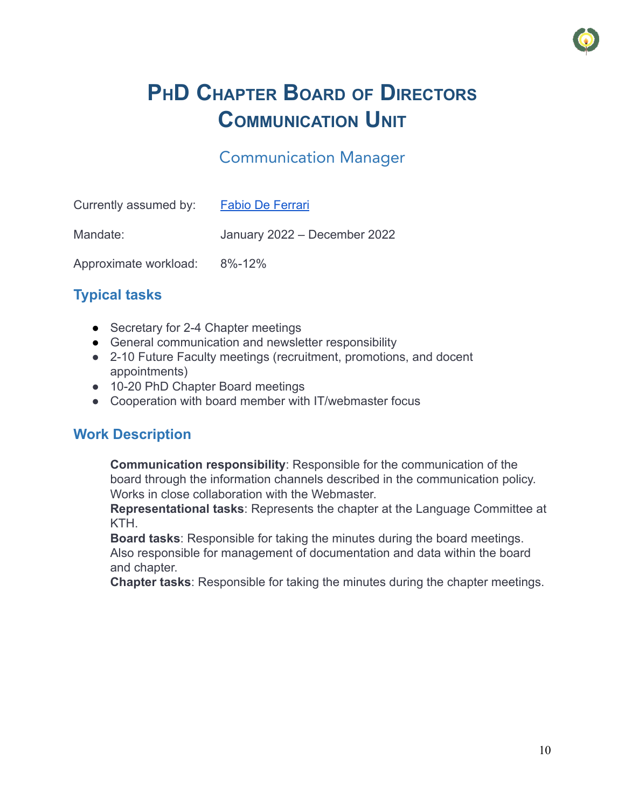

# **PHD CHAPTER BOARD OF DIRECTORS COMMUNICATION UNIT**

## Communication Manager

<span id="page-10-0"></span>

| Currently assumed by: | <b>Fabio De Ferrari</b>      |
|-----------------------|------------------------------|
| Mandate:              | January 2022 - December 2022 |
| Approximate workload: | $8\% - 12\%$                 |

## **Typical tasks**

- Secretary for 2-4 Chapter meetings
- General communication and newsletter responsibility
- **●** 2-10 Future Faculty meetings (recruitment, promotions, and docent appointments)
- **●** 10-20 PhD Chapter Board meetings
- **●** Cooperation with board member with IT/webmaster focus

## **Work Description**

**Communication responsibility**: Responsible for the communication of the board through the information channels described in the communication policy. Works in close collaboration with the Webmaster.

**Representational tasks**: Represents the chapter at the Language Committee at KTH.

**Board tasks**: Responsible for taking the minutes during the board meetings. Also responsible for management of documentation and data within the board and chapter.

**Chapter tasks**: Responsible for taking the minutes during the chapter meetings.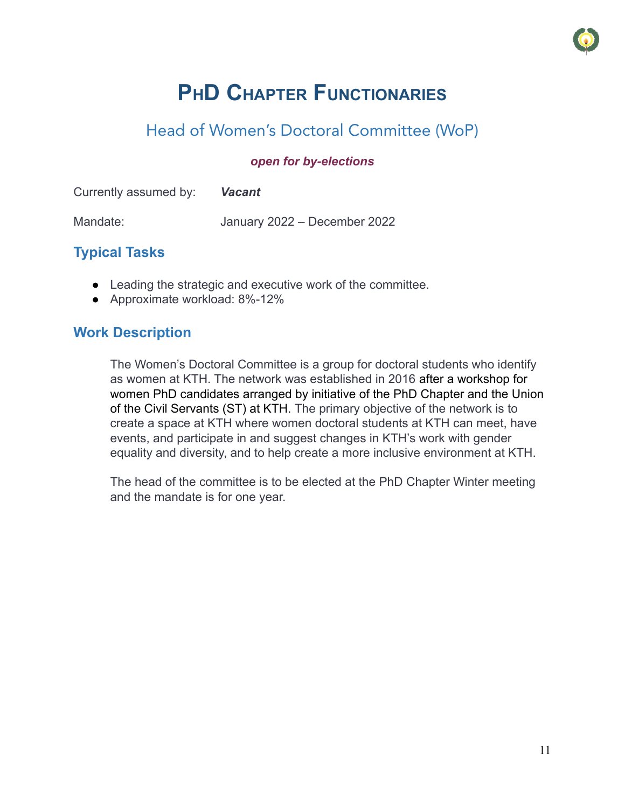## Head of Women's Doctoral Committee (WoP)

#### *open for by-elections*

<span id="page-11-0"></span>

| Currently assumed by: | <b>Vacant</b>                |
|-----------------------|------------------------------|
| Mandate:              | January 2022 – December 2022 |

## **Typical Tasks**

- Leading the strategic and executive work of the committee.
- Approximate workload: 8%-12%

### **Work Description**

The Women's Doctoral Committee is a group for doctoral students who identify as women at KTH. The network was established in 2016 after a workshop for women PhD candidates arranged by initiative of the PhD Chapter and the Union of the Civil Servants (ST) at KTH. The primary objective of the network is to create a space at KTH where women doctoral students at KTH can meet, have events, and participate in and suggest changes in KTH's work with gender equality and diversity, and to help create a more inclusive environment at KTH.

The head of the committee is to be elected at the PhD Chapter Winter meeting and the mandate is for one year.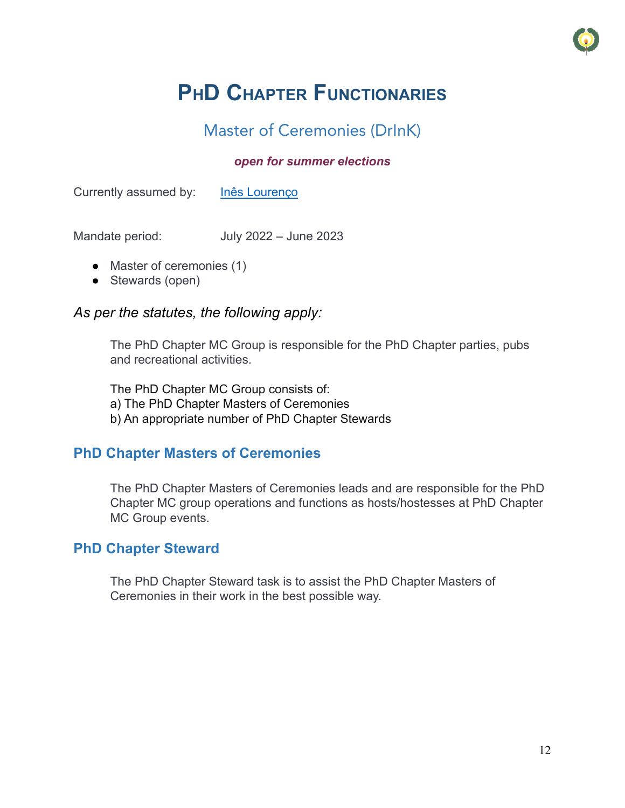

## Master of Ceremonies (DrInK)

#### *open for summer elections*

<span id="page-12-0"></span>Currently assumed by: [Inês Lourenço](https://www.kth.se/profile/ineslo)

Mandate period: July 2022 – June 2023

- Master of ceremonies (1)
- Stewards (open)

#### *As per the statutes, the following apply:*

The PhD Chapter MC Group is responsible for the PhD Chapter parties, pubs and recreational activities.

The PhD Chapter MC Group consists of: a) The PhD Chapter Masters of Ceremonies b) An appropriate number of PhD Chapter Stewards

### **PhD Chapter Masters of Ceremonies**

The PhD Chapter Masters of Ceremonies leads and are responsible for the PhD Chapter MC group operations and functions as hosts/hostesses at PhD Chapter MC Group events.

#### **PhD Chapter Steward**

The PhD Chapter Steward task is to assist the PhD Chapter Masters of Ceremonies in their work in the best possible way.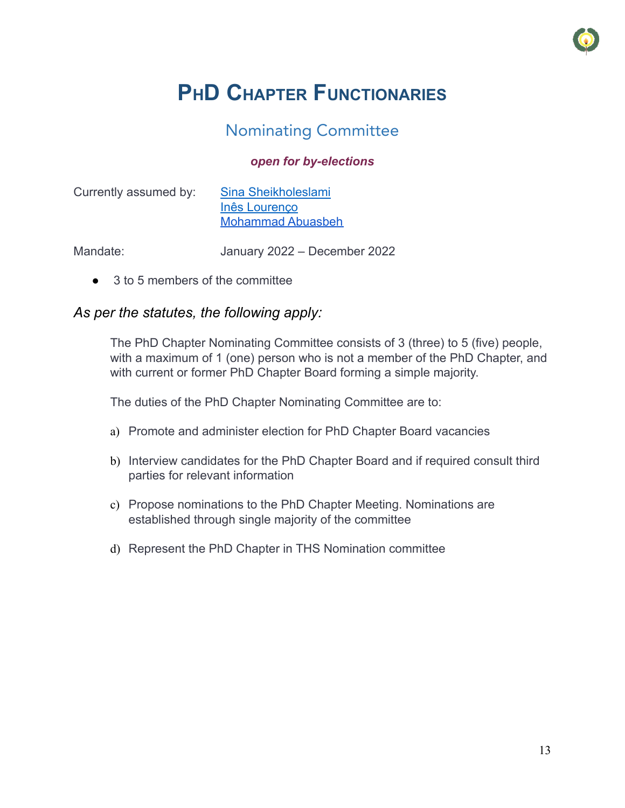

## Nominating Committee

#### *open for by-elections*

<span id="page-13-0"></span>

| Currently assumed by: | Sina Sheikholeslami      |
|-----------------------|--------------------------|
|                       | Inês Lourenço            |
|                       | <b>Mohammad Abuasbeh</b> |

Mandate: January 2022 – December 2022

● 3 to 5 members of the committee

### *As per the statutes, the following apply:*

The PhD Chapter Nominating Committee consists of 3 (three) to 5 (five) people, with a maximum of 1 (one) person who is not a member of the PhD Chapter, and with current or former PhD Chapter Board forming a simple majority.

The duties of the PhD Chapter Nominating Committee are to:

- a) Promote and administer election for PhD Chapter Board vacancies
- b) Interview candidates for the PhD Chapter Board and if required consult third parties for relevant information
- c) Propose nominations to the PhD Chapter Meeting. Nominations are established through single majority of the committee
- d) Represent the PhD Chapter in THS Nomination committee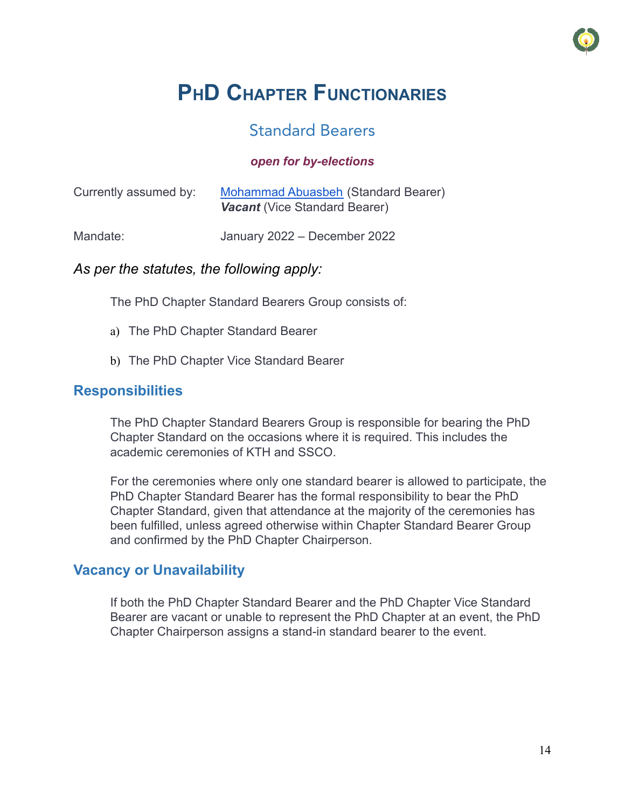

## Standard Bearers

#### *open for by-elections*

<span id="page-14-0"></span>

| Currently assumed by: | Mohammad Abuasbeh (Standard Bearer)<br><b>Vacant</b> (Vice Standard Bearer) |
|-----------------------|-----------------------------------------------------------------------------|
| Mandate:              | January 2022 – December 2022                                                |

#### *As per the statutes, the following apply:*

The PhD Chapter Standard Bearers Group consists of:

- a) The PhD Chapter Standard Bearer
- b) The PhD Chapter Vice Standard Bearer

### **Responsibilities**

The PhD Chapter Standard Bearers Group is responsible for bearing the PhD Chapter Standard on the occasions where it is required. This includes the academic ceremonies of KTH and SSCO.

For the ceremonies where only one standard bearer is allowed to participate, the PhD Chapter Standard Bearer has the formal responsibility to bear the PhD Chapter Standard, given that attendance at the majority of the ceremonies has been fulfilled, unless agreed otherwise within Chapter Standard Bearer Group and confirmed by the PhD Chapter Chairperson.

### **Vacancy or Unavailability**

If both the PhD Chapter Standard Bearer and the PhD Chapter Vice Standard Bearer are vacant or unable to represent the PhD Chapter at an event, the PhD Chapter Chairperson assigns a stand-in standard bearer to the event.